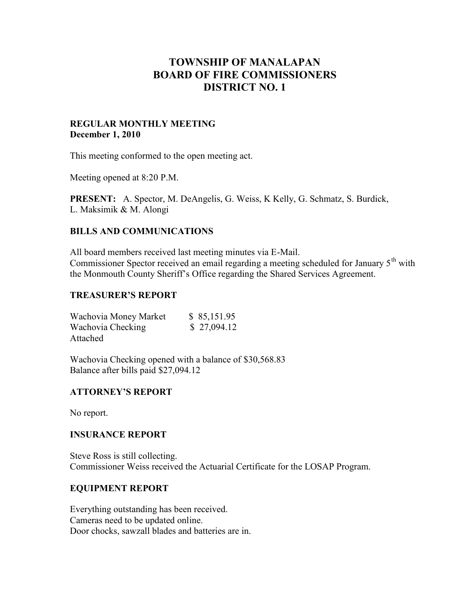# **TOWNSHIP OF MANALAPAN BOARD OF FIRE COMMISSIONERS DISTRICT NO. 1**

#### **REGULAR MONTHLY MEETING December 1, 2010**

This meeting conformed to the open meeting act.

Meeting opened at 8:20 P.M.

**PRESENT:** A. Spector, M. DeAngelis, G. Weiss, K Kelly, G. Schmatz, S. Burdick, L. Maksimik & M. Alongi

# **BILLS AND COMMUNICATIONS**

All board members received last meeting minutes via E-Mail. Commissioner Spector received an email regarding a meeting scheduled for January  $5<sup>th</sup>$  with the Monmouth County Sheriff's Office regarding the Shared Services Agreement.

#### **TREASURER'S REPORT**

| Wachovia Money Market | \$85,151.95 |
|-----------------------|-------------|
| Wachovia Checking     | \$27,094.12 |
| Attached              |             |

Wachovia Checking opened with a balance of \$30,568.83 Balance after bills paid \$27,094.12

# **ATTORNEY'S REPORT**

No report.

#### **INSURANCE REPORT**

Steve Ross is still collecting. Commissioner Weiss received the Actuarial Certificate for the LOSAP Program.

#### **EQUIPMENT REPORT**

Everything outstanding has been received. Cameras need to be updated online. Door chocks, sawzall blades and batteries are in.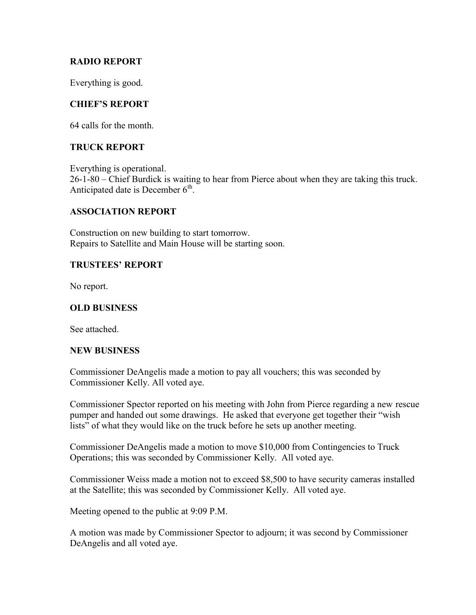# **RADIO REPORT**

Everything is good.

# **CHIEF'S REPORT**

64 calls for the month.

# **TRUCK REPORT**

Everything is operational. 26-1-80 – Chief Burdick is waiting to hear from Pierce about when they are taking this truck. Anticipated date is December  $6<sup>th</sup>$ .

# **ASSOCIATION REPORT**

Construction on new building to start tomorrow. Repairs to Satellite and Main House will be starting soon.

# **TRUSTEES' REPORT**

No report.

#### **OLD BUSINESS**

See attached.

#### **NEW BUSINESS**

Commissioner DeAngelis made a motion to pay all vouchers; this was seconded by Commissioner Kelly. All voted aye.

Commissioner Spector reported on his meeting with John from Pierce regarding a new rescue pumper and handed out some drawings. He asked that everyone get together their "wish lists" of what they would like on the truck before he sets up another meeting.

Commissioner DeAngelis made a motion to move \$10,000 from Contingencies to Truck Operations; this was seconded by Commissioner Kelly. All voted aye.

Commissioner Weiss made a motion not to exceed \$8,500 to have security cameras installed at the Satellite; this was seconded by Commissioner Kelly. All voted aye.

Meeting opened to the public at 9:09 P.M.

A motion was made by Commissioner Spector to adjourn; it was second by Commissioner DeAngelis and all voted aye.